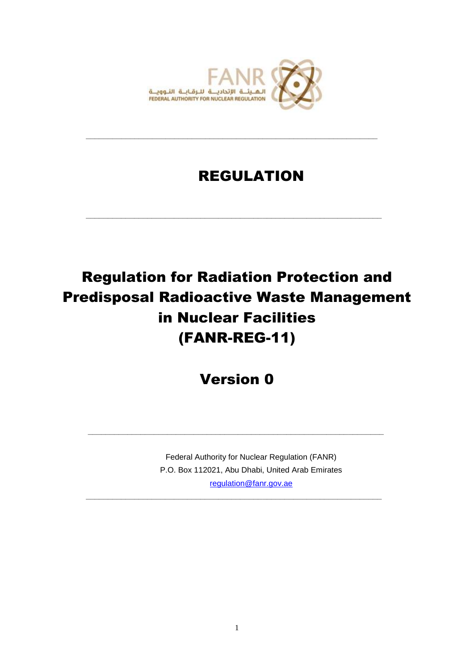

**\_\_\_\_\_\_\_\_\_\_\_\_\_\_\_\_\_\_\_\_\_\_\_\_\_\_\_\_\_\_\_\_\_\_\_\_\_\_\_\_\_\_\_\_\_\_\_\_\_\_\_\_\_\_\_\_\_\_\_\_\_\_\_\_\_\_**

**\_\_\_\_\_\_\_\_\_\_\_\_\_\_\_\_\_\_\_\_\_\_\_\_\_\_\_\_\_\_\_\_\_\_\_\_\_\_\_\_\_\_\_\_\_\_\_\_\_\_\_\_\_\_\_\_\_\_\_\_\_\_\_\_\_\_\_**

# REGULATION

# Regulation for Radiation Protection and Predisposal Radioactive Waste Management in Nuclear Facilities (FANR-REG-11)

Version 0

**\_\_\_\_\_\_\_\_\_\_\_\_\_\_\_\_\_\_\_\_\_\_\_\_\_\_\_\_\_\_\_\_\_\_\_\_\_\_\_\_\_\_\_\_\_\_\_\_\_\_\_\_\_\_\_\_\_\_\_\_\_\_\_\_\_\_\_**

**\_\_\_\_\_\_\_\_\_\_\_\_\_\_\_\_\_\_\_\_\_\_\_\_\_\_\_\_\_\_\_\_\_\_\_\_\_\_\_\_\_\_\_\_\_\_\_\_\_\_\_\_\_\_\_\_\_\_\_\_\_\_\_\_\_\_\_**

Federal Authority for Nuclear Regulation (FANR) P.O. Box 112021, Abu Dhabi, United Arab Emirates [regulation@fanr.gov.ae](http://www.fanr.gov.ae/)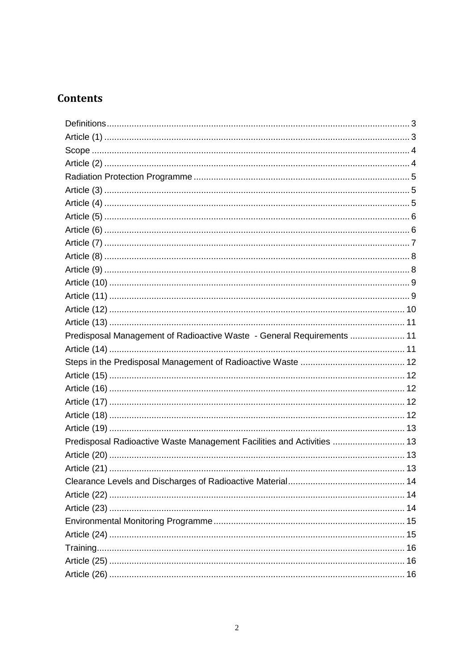# **Contents**

| Predisposal Management of Radioactive Waste - General Requirements  11 |  |
|------------------------------------------------------------------------|--|
|                                                                        |  |
|                                                                        |  |
|                                                                        |  |
|                                                                        |  |
|                                                                        |  |
|                                                                        |  |
|                                                                        |  |
| Predisposal Radioactive Waste Management Facilities and Activities  13 |  |
|                                                                        |  |
|                                                                        |  |
|                                                                        |  |
|                                                                        |  |
|                                                                        |  |
|                                                                        |  |
|                                                                        |  |
|                                                                        |  |
|                                                                        |  |
|                                                                        |  |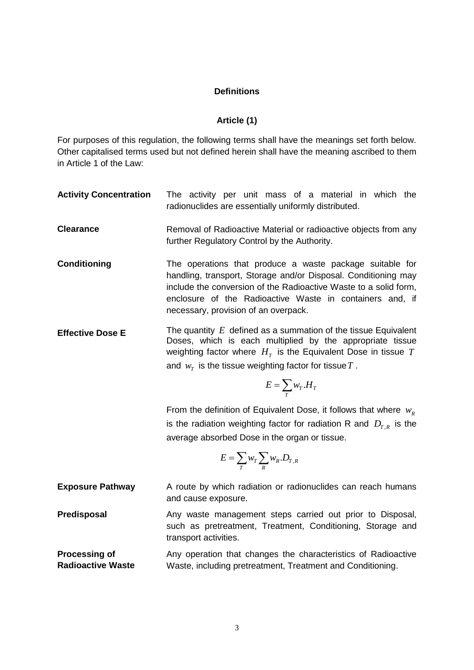#### **Definitions**

#### **Article (1)**

<span id="page-2-1"></span><span id="page-2-0"></span>For purposes of this regulation, the following terms shall have the meanings set forth below. Other capitalised terms used but not defined herein shall have the meaning ascribed to them in Article 1 of the Law:

| <b>Activity Concentration</b> |  |  |  | The activity per unit mass of a material in which the |  |  |
|-------------------------------|--|--|--|-------------------------------------------------------|--|--|
|                               |  |  |  | radionuclides are essentially uniformly distributed.  |  |  |

- **Clearance** Removal of Radioactive Material or radioactive objects from any further Regulatory Control by the Authority.
- **Conditioning** The operations that produce a waste package suitable for handling, transport, Storage and/or Disposal. Conditioning may include the conversion of the Radioactive Waste to a solid form, enclosure of the Radioactive Waste in containers and, if necessary, provision of an overpack.
- **Effective Dose E** *E* defined as a summation of the tissue Equivalent Doses, which is each multiplied by the appropriate tissue weighting factor where  $H_T$  is the Equivalent Dose in tissue  $T$ and  $w_{\tau}$  is the tissue weighting factor for tissue  $T$  .

$$
E=\sum_{T}w_{T}.H_{T}
$$

From the definition of Equivalent Dose, it follows that where  $w_R$ is the radiation weighting factor for radiation R and  $D_{T,R}$  is the average absorbed Dose in the organ or tissue.

$$
E = \sum_{T} w_T \sum_{R} w_R . D_{T,R}
$$

**Exposure Pathway** A route by which radiation or radionuclides can reach humans and cause exposure.

**Predisposal** Any waste management steps carried out prior to Disposal, such as pretreatment, Treatment, Conditioning, Storage and transport activities.

**Processing of Radioactive Waste** Any operation that changes the characteristics of Radioactive Waste, including pretreatment, Treatment and Conditioning.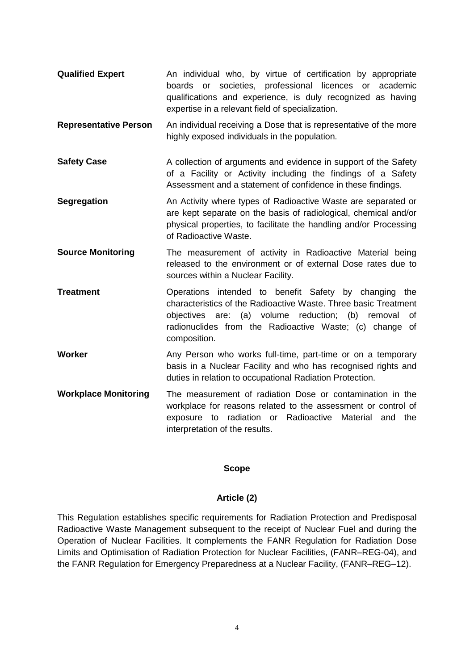- **Qualified Expert** An individual who, by virtue of certification by appropriate boards or societies, professional licences or academic qualifications and experience, is duly recognized as having expertise in a relevant field of specialization.
- **Representative Person** An individual receiving a Dose that is representative of the more highly exposed individuals in the population.
- **Safety Case** A collection of arguments and evidence in support of the Safety of a Facility or Activity including the findings of a Safety Assessment and a statement of confidence in these findings.
- **Segregation** An Activity where types of Radioactive Waste are separated or are kept separate on the basis of radiological, chemical and/or physical properties, to facilitate the handling and/or Processing of Radioactive Waste.
- **Source Monitoring** The measurement of activity in Radioactive Material being released to the environment or of external Dose rates due to sources within a Nuclear Facility.
- **Treatment C** Operations intended to benefit Safety by changing the characteristics of the Radioactive Waste. Three basic Treatment objectives are: (a) volume reduction; (b) removal of radionuclides from the Radioactive Waste; (c) change of composition.
- **Worker Any Person who works full-time, part-time or on a temporary <b>Worker** basis in a Nuclear Facility and who has recognised rights and duties in relation to occupational Radiation Protection.
- **Workplace Monitoring** The measurement of radiation Dose or contamination in the workplace for reasons related to the assessment or control of exposure to radiation or Radioactive Material and the interpretation of the results.

#### **Scope**

# **Article (2)**

<span id="page-3-1"></span><span id="page-3-0"></span>This Regulation establishes specific requirements for Radiation Protection and Predisposal Radioactive Waste Management subsequent to the receipt of Nuclear Fuel and during the Operation of Nuclear Facilities. It complements the FANR Regulation for Radiation Dose Limits and Optimisation of Radiation Protection for Nuclear Facilities, (FANR–REG-04), and the FANR Regulation for Emergency Preparedness at a Nuclear Facility, (FANR–REG–12).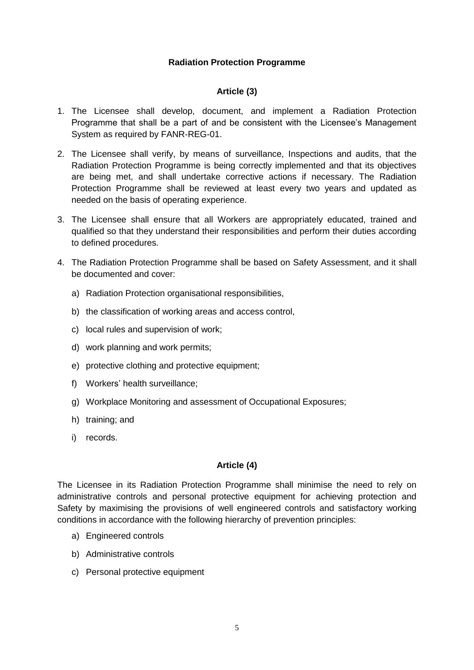#### **Radiation Protection Programme**

#### **Article (3)**

- <span id="page-4-1"></span><span id="page-4-0"></span>1. The Licensee shall develop, document, and implement a Radiation Protection Programme that shall be a part of and be consistent with the Licensee's Management System as required by FANR-REG-01.
- 2. The Licensee shall verify, by means of surveillance, Inspections and audits, that the Radiation Protection Programme is being correctly implemented and that its objectives are being met, and shall undertake corrective actions if necessary. The Radiation Protection Programme shall be reviewed at least every two years and updated as needed on the basis of operating experience.
- 3. The Licensee shall ensure that all Workers are appropriately educated, trained and qualified so that they understand their responsibilities and perform their duties according to defined procedures.
- 4. The Radiation Protection Programme shall be based on Safety Assessment, and it shall be documented and cover:
	- a) Radiation Protection organisational responsibilities,
	- b) the classification of working areas and access control,
	- c) local rules and supervision of work;
	- d) work planning and work permits;
	- e) protective clothing and protective equipment;
	- f) Workers' health surveillance;
	- g) Workplace Monitoring and assessment of Occupational Exposures;
	- h) training; and
	- i) records.

# **Article (4)**

<span id="page-4-2"></span>The Licensee in its Radiation Protection Programme shall minimise the need to rely on administrative controls and personal protective equipment for achieving protection and Safety by maximising the provisions of well engineered controls and satisfactory working conditions in accordance with the following hierarchy of prevention principles:

- a) Engineered controls
- b) Administrative controls
- c) Personal protective equipment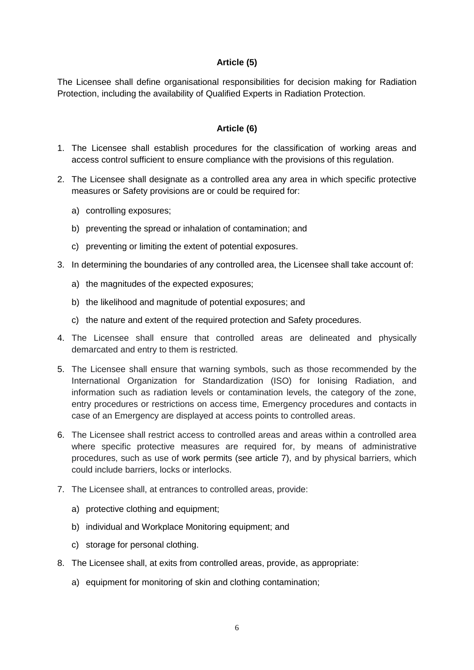#### **Article (5)**

<span id="page-5-0"></span>The Licensee shall define organisational responsibilities for decision making for Radiation Protection, including the availability of Qualified Experts in Radiation Protection.

# **Article (6)**

- <span id="page-5-1"></span>1. The Licensee shall establish procedures for the classification of working areas and access control sufficient to ensure compliance with the provisions of this regulation.
- 2. The Licensee shall designate as a controlled area any area in which specific protective measures or Safety provisions are or could be required for:
	- a) controlling exposures;
	- b) preventing the spread or inhalation of contamination; and
	- c) preventing or limiting the extent of potential exposures.
- 3. In determining the boundaries of any controlled area, the Licensee shall take account of:
	- a) the magnitudes of the expected exposures;
	- b) the likelihood and magnitude of potential exposures; and
	- c) the nature and extent of the required protection and Safety procedures.
- 4. The Licensee shall ensure that controlled areas are delineated and physically demarcated and entry to them is restricted.
- 5. The Licensee shall ensure that warning symbols, such as those recommended by the International Organization for Standardization (ISO) for Ionising Radiation, and information such as radiation levels or contamination levels, the category of the zone, entry procedures or restrictions on access time, Emergency procedures and contacts in case of an Emergency are displayed at access points to controlled areas.
- 6. The Licensee shall restrict access to controlled areas and areas within a controlled area where specific protective measures are required for, by means of administrative procedures, such as use of work permits (see article 7), and by physical barriers, which could include barriers, locks or interlocks.
- 7. The Licensee shall, at entrances to controlled areas, provide:
	- a) protective clothing and equipment;
	- b) individual and Workplace Monitoring equipment; and
	- c) storage for personal clothing.
- 8. The Licensee shall, at exits from controlled areas, provide, as appropriate:
	- a) equipment for monitoring of skin and clothing contamination;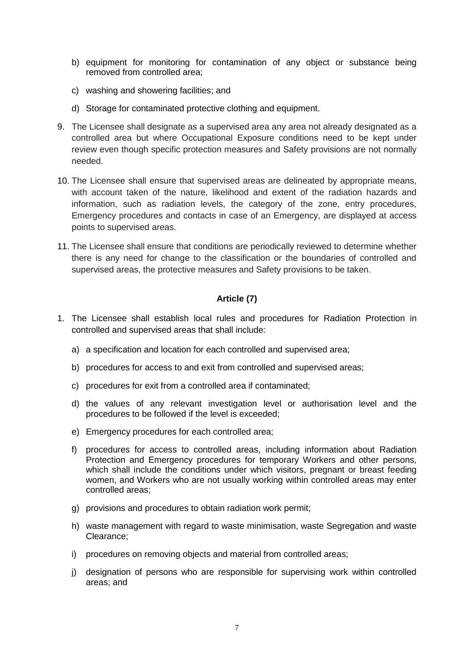- b) equipment for monitoring for contamination of any object or substance being removed from controlled area;
- c) washing and showering facilities; and
- d) Storage for contaminated protective clothing and equipment.
- 9. The Licensee shall designate as a supervised area any area not already designated as a controlled area but where Occupational Exposure conditions need to be kept under review even though specific protection measures and Safety provisions are not normally needed.
- 10. The Licensee shall ensure that supervised areas are delineated by appropriate means, with account taken of the nature, likelihood and extent of the radiation hazards and information, such as radiation levels, the category of the zone, entry procedures, Emergency procedures and contacts in case of an Emergency, are displayed at access points to supervised areas.
- 11. The Licensee shall ensure that conditions are periodically reviewed to determine whether there is any need for change to the classification or the boundaries of controlled and supervised areas, the protective measures and Safety provisions to be taken.

#### **Article (7)**

- <span id="page-6-0"></span>1. The Licensee shall establish local rules and procedures for Radiation Protection in controlled and supervised areas that shall include:
	- a) a specification and location for each controlled and supervised area;
	- b) procedures for access to and exit from controlled and supervised areas;
	- c) procedures for exit from a controlled area if contaminated;
	- d) the values of any relevant investigation level or authorisation level and the procedures to be followed if the level is exceeded;
	- e) Emergency procedures for each controlled area;
	- f) procedures for access to controlled areas, including information about Radiation Protection and Emergency procedures for temporary Workers and other persons, which shall include the conditions under which visitors, pregnant or breast feeding women, and Workers who are not usually working within controlled areas may enter controlled areas;
	- g) provisions and procedures to obtain radiation work permit;
	- h) waste management with regard to waste minimisation, waste Segregation and waste Clearance;
	- i) procedures on removing objects and material from controlled areas;
	- j) designation of persons who are responsible for supervising work within controlled areas; and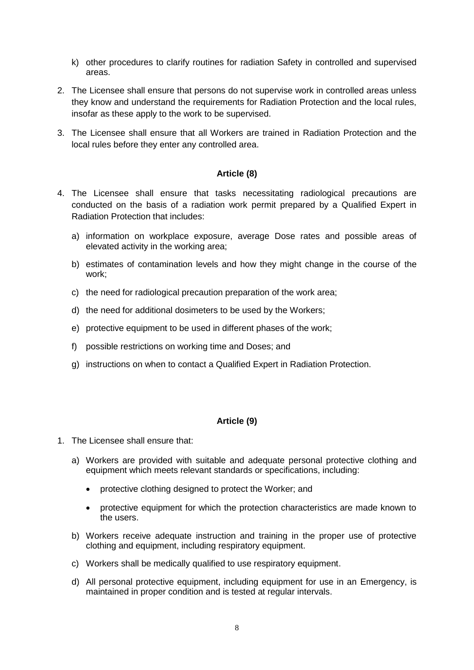- k) other procedures to clarify routines for radiation Safety in controlled and supervised areas.
- 2. The Licensee shall ensure that persons do not supervise work in controlled areas unless they know and understand the requirements for Radiation Protection and the local rules, insofar as these apply to the work to be supervised.
- 3. The Licensee shall ensure that all Workers are trained in Radiation Protection and the local rules before they enter any controlled area.

#### **Article (8)**

- <span id="page-7-0"></span>4. The Licensee shall ensure that tasks necessitating radiological precautions are conducted on the basis of a radiation work permit prepared by a Qualified Expert in Radiation Protection that includes:
	- a) information on workplace exposure, average Dose rates and possible areas of elevated activity in the working area;
	- b) estimates of contamination levels and how they might change in the course of the work;
	- c) the need for radiological precaution preparation of the work area;
	- d) the need for additional dosimeters to be used by the Workers;
	- e) protective equipment to be used in different phases of the work;
	- f) possible restrictions on working time and Doses; and
	- g) instructions on when to contact a Qualified Expert in Radiation Protection.

#### **Article (9)**

- <span id="page-7-1"></span>1. The Licensee shall ensure that:
	- a) Workers are provided with suitable and adequate personal protective clothing and equipment which meets relevant standards or specifications, including:
		- protective clothing designed to protect the Worker; and
		- protective equipment for which the protection characteristics are made known to the users.
	- b) Workers receive adequate instruction and training in the proper use of protective clothing and equipment, including respiratory equipment.
	- c) Workers shall be medically qualified to use respiratory equipment.
	- d) All personal protective equipment, including equipment for use in an Emergency, is maintained in proper condition and is tested at regular intervals.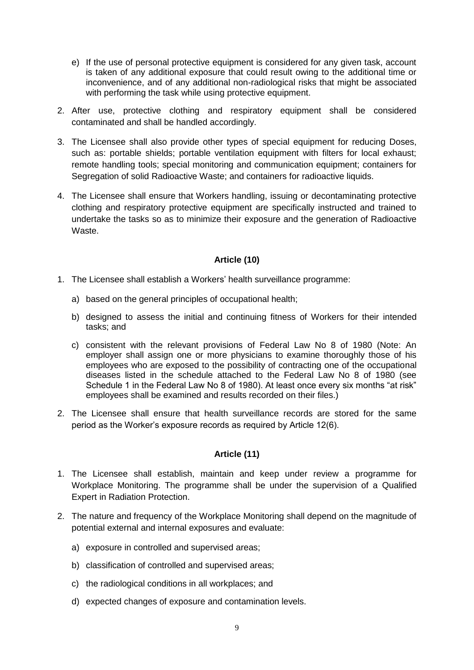- e) If the use of personal protective equipment is considered for any given task, account is taken of any additional exposure that could result owing to the additional time or inconvenience, and of any additional non-radiological risks that might be associated with performing the task while using protective equipment.
- 2. After use, protective clothing and respiratory equipment shall be considered contaminated and shall be handled accordingly.
- 3. The Licensee shall also provide other types of special equipment for reducing Doses, such as: portable shields; portable ventilation equipment with filters for local exhaust; remote handling tools; special monitoring and communication equipment; containers for Segregation of solid Radioactive Waste; and containers for radioactive liquids.
- 4. The Licensee shall ensure that Workers handling, issuing or decontaminating protective clothing and respiratory protective equipment are specifically instructed and trained to undertake the tasks so as to minimize their exposure and the generation of Radioactive Waste.

# **Article (10)**

- <span id="page-8-0"></span>1. The Licensee shall establish a Workers' health surveillance programme:
	- a) based on the general principles of occupational health;
	- b) designed to assess the initial and continuing fitness of Workers for their intended tasks; and
	- c) consistent with the relevant provisions of Federal Law No 8 of 1980 (Note: An employer shall assign one or more physicians to examine thoroughly those of his employees who are exposed to the possibility of contracting one of the occupational diseases listed in the schedule attached to the Federal Law No 8 of 1980 (see Schedule 1 in the Federal Law No 8 of 1980). At least once every six months "at risk" employees shall be examined and results recorded on their files.)
- 2. The Licensee shall ensure that health surveillance records are stored for the same period as the Worker's exposure records as required by Article 12(6).

# **Article (11)**

- <span id="page-8-1"></span>1. The Licensee shall establish, maintain and keep under review a programme for Workplace Monitoring. The programme shall be under the supervision of a Qualified Expert in Radiation Protection.
- 2. The nature and frequency of the Workplace Monitoring shall depend on the magnitude of potential external and internal exposures and evaluate:
	- a) exposure in controlled and supervised areas;
	- b) classification of controlled and supervised areas;
	- c) the radiological conditions in all workplaces; and
	- d) expected changes of exposure and contamination levels.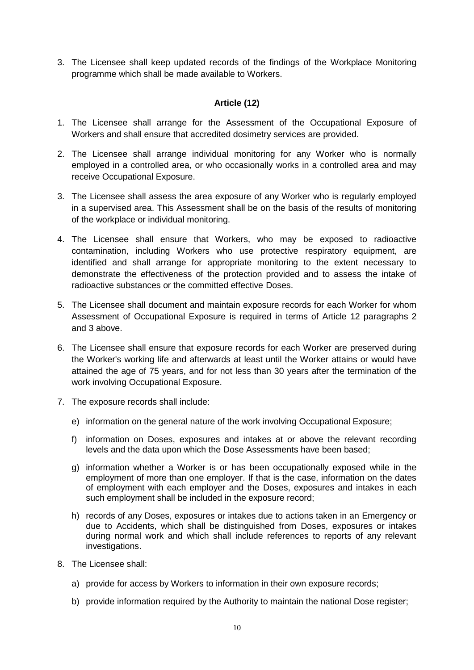3. The Licensee shall keep updated records of the findings of the Workplace Monitoring programme which shall be made available to Workers.

# **Article (12)**

- <span id="page-9-0"></span>1. The Licensee shall arrange for the Assessment of the Occupational Exposure of Workers and shall ensure that accredited dosimetry services are provided.
- 2. The Licensee shall arrange individual monitoring for any Worker who is normally employed in a controlled area, or who occasionally works in a controlled area and may receive Occupational Exposure.
- 3. The Licensee shall assess the area exposure of any Worker who is regularly employed in a supervised area. This Assessment shall be on the basis of the results of monitoring of the workplace or individual monitoring.
- 4. The Licensee shall ensure that Workers, who may be exposed to radioactive contamination, including Workers who use protective respiratory equipment, are identified and shall arrange for appropriate monitoring to the extent necessary to demonstrate the effectiveness of the protection provided and to assess the intake of radioactive substances or the committed effective Doses.
- 5. The Licensee shall document and maintain exposure records for each Worker for whom Assessment of Occupational Exposure is required in terms of Article 12 paragraphs 2 and 3 above.
- 6. The Licensee shall ensure that exposure records for each Worker are preserved during the Worker's working life and afterwards at least until the Worker attains or would have attained the age of 75 years, and for not less than 30 years after the termination of the work involving Occupational Exposure.
- 7. The exposure records shall include:
	- e) information on the general nature of the work involving Occupational Exposure;
	- f) information on Doses, exposures and intakes at or above the relevant recording levels and the data upon which the Dose Assessments have been based;
	- g) information whether a Worker is or has been occupationally exposed while in the employment of more than one employer. If that is the case, information on the dates of employment with each employer and the Doses, exposures and intakes in each such employment shall be included in the exposure record;
	- h) records of any Doses, exposures or intakes due to actions taken in an Emergency or due to Accidents, which shall be distinguished from Doses, exposures or intakes during normal work and which shall include references to reports of any relevant investigations.
- 8. The Licensee shall:
	- a) provide for access by Workers to information in their own exposure records;
	- b) provide information required by the Authority to maintain the national Dose register;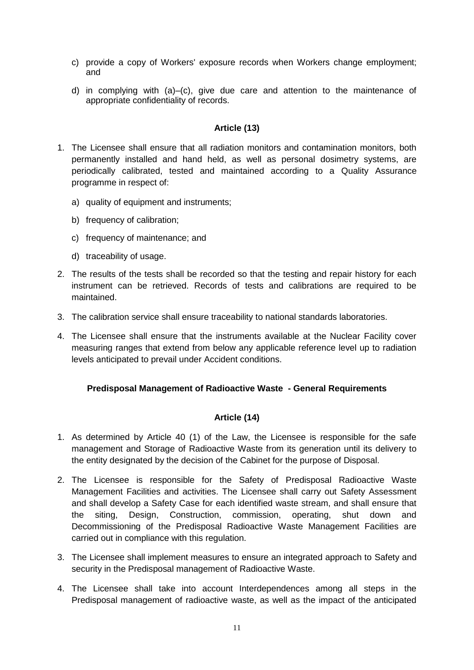- c) provide a copy of Workers' exposure records when Workers change employment; and
- d) in complying with (a)–(c), give due care and attention to the maintenance of appropriate confidentiality of records.

#### **Article (13)**

- <span id="page-10-0"></span>1. The Licensee shall ensure that all radiation monitors and contamination monitors, both permanently installed and hand held, as well as personal dosimetry systems, are periodically calibrated, tested and maintained according to a Quality Assurance programme in respect of:
	- a) quality of equipment and instruments;
	- b) frequency of calibration;
	- c) frequency of maintenance; and
	- d) traceability of usage.
- 2. The results of the tests shall be recorded so that the testing and repair history for each instrument can be retrieved. Records of tests and calibrations are required to be maintained.
- 3. The calibration service shall ensure traceability to national standards laboratories.
- 4. The Licensee shall ensure that the instruments available at the Nuclear Facility cover measuring ranges that extend from below any applicable reference level up to radiation levels anticipated to prevail under Accident conditions.

#### <span id="page-10-1"></span>**Predisposal Management of Radioactive Waste - General Requirements**

#### **Article (14)**

- <span id="page-10-2"></span>1. As determined by Article 40 (1) of the Law, the Licensee is responsible for the safe management and Storage of Radioactive Waste from its generation until its delivery to the entity designated by the decision of the Cabinet for the purpose of Disposal.
- 2. The Licensee is responsible for the Safety of Predisposal Radioactive Waste Management Facilities and activities. The Licensee shall carry out Safety Assessment and shall develop a Safety Case for each identified waste stream, and shall ensure that the siting, Design, Construction, commission, operating, shut down and Decommissioning of the Predisposal Radioactive Waste Management Facilities are carried out in compliance with this regulation.
- 3. The Licensee shall implement measures to ensure an integrated approach to Safety and security in the Predisposal management of Radioactive Waste.
- 4. The Licensee shall take into account Interdependences among all steps in the Predisposal management of radioactive waste, as well as the impact of the anticipated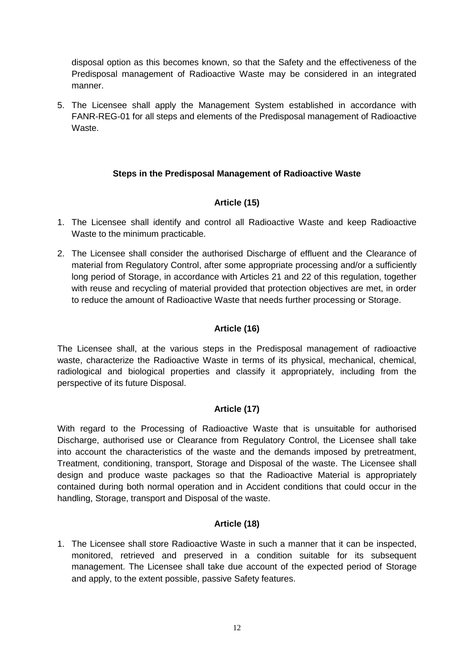disposal option as this becomes known, so that the Safety and the effectiveness of the Predisposal management of Radioactive Waste may be considered in an integrated manner.

5. The Licensee shall apply the Management System established in accordance with FANR-REG-01 for all steps and elements of the Predisposal management of Radioactive **Waste** 

# **Steps in the Predisposal Management of Radioactive Waste**

# **Article (15)**

- <span id="page-11-1"></span><span id="page-11-0"></span>1. The Licensee shall identify and control all Radioactive Waste and keep Radioactive Waste to the minimum practicable.
- 2. The Licensee shall consider the authorised Discharge of effluent and the Clearance of material from Regulatory Control, after some appropriate processing and/or a sufficiently long period of Storage, in accordance with Articles 21 and 22 of this regulation, together with reuse and recycling of material provided that protection objectives are met, in order to reduce the amount of Radioactive Waste that needs further processing or Storage.

# **Article (16)**

<span id="page-11-2"></span>The Licensee shall, at the various steps in the Predisposal management of radioactive waste, characterize the Radioactive Waste in terms of its physical, mechanical, chemical, radiological and biological properties and classify it appropriately, including from the perspective of its future Disposal.

# **Article (17)**

<span id="page-11-3"></span>With regard to the Processing of Radioactive Waste that is unsuitable for authorised Discharge, authorised use or Clearance from Regulatory Control, the Licensee shall take into account the characteristics of the waste and the demands imposed by pretreatment, Treatment, conditioning, transport, Storage and Disposal of the waste. The Licensee shall design and produce waste packages so that the Radioactive Material is appropriately contained during both normal operation and in Accident conditions that could occur in the handling, Storage, transport and Disposal of the waste.

#### **Article (18)**

<span id="page-11-4"></span>1. The Licensee shall store Radioactive Waste in such a manner that it can be inspected, monitored, retrieved and preserved in a condition suitable for its subsequent management. The Licensee shall take due account of the expected period of Storage and apply, to the extent possible, passive Safety features.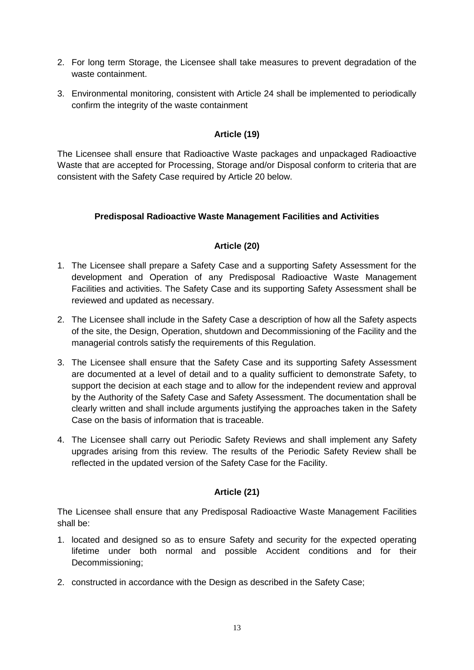- 2. For long term Storage, the Licensee shall take measures to prevent degradation of the waste containment.
- 3. Environmental monitoring, consistent with Article 24 shall be implemented to periodically confirm the integrity of the waste containment

# **Article (19)**

<span id="page-12-0"></span>The Licensee shall ensure that Radioactive Waste packages and unpackaged Radioactive Waste that are accepted for Processing, Storage and/or Disposal conform to criteria that are consistent with the Safety Case required by Article 20 below.

# <span id="page-12-1"></span>**Predisposal Radioactive Waste Management Facilities and Activities**

# **Article (20)**

- <span id="page-12-2"></span>1. The Licensee shall prepare a Safety Case and a supporting Safety Assessment for the development and Operation of any Predisposal Radioactive Waste Management Facilities and activities. The Safety Case and its supporting Safety Assessment shall be reviewed and updated as necessary.
- 2. The Licensee shall include in the Safety Case a description of how all the Safety aspects of the site, the Design, Operation, shutdown and Decommissioning of the Facility and the managerial controls satisfy the requirements of this Regulation.
- 3. The Licensee shall ensure that the Safety Case and its supporting Safety Assessment are documented at a level of detail and to a quality sufficient to demonstrate Safety, to support the decision at each stage and to allow for the independent review and approval by the Authority of the Safety Case and Safety Assessment. The documentation shall be clearly written and shall include arguments justifying the approaches taken in the Safety Case on the basis of information that is traceable.
- 4. The Licensee shall carry out Periodic Safety Reviews and shall implement any Safety upgrades arising from this review. The results of the Periodic Safety Review shall be reflected in the updated version of the Safety Case for the Facility.

# **Article (21)**

<span id="page-12-3"></span>The Licensee shall ensure that any Predisposal Radioactive Waste Management Facilities shall be:

- 1. located and designed so as to ensure Safety and security for the expected operating lifetime under both normal and possible Accident conditions and for their Decommissioning;
- 2. constructed in accordance with the Design as described in the Safety Case;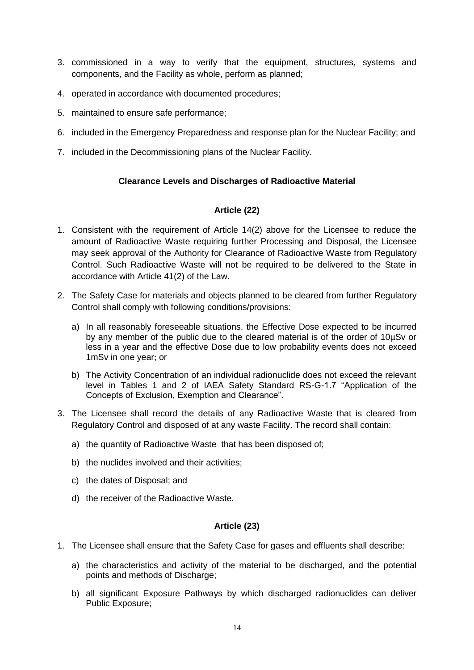- 3. commissioned in a way to verify that the equipment, structures, systems and components, and the Facility as whole, perform as planned;
- 4. operated in accordance with documented procedures;
- 5. maintained to ensure safe performance;
- 6. included in the Emergency Preparedness and response plan for the Nuclear Facility; and
- <span id="page-13-0"></span>7. included in the Decommissioning plans of the Nuclear Facility.

# **Clearance Levels and Discharges of Radioactive Material**

# **Article (22)**

- <span id="page-13-1"></span>1. Consistent with the requirement of Article 14(2) above for the Licensee to reduce the amount of Radioactive Waste requiring further Processing and Disposal, the Licensee may seek approval of the Authority for Clearance of Radioactive Waste from Regulatory Control. Such Radioactive Waste will not be required to be delivered to the State in accordance with Article 41(2) of the Law.
- 2. The Safety Case for materials and objects planned to be cleared from further Regulatory Control shall comply with following conditions/provisions:
	- a) In all reasonably foreseeable situations, the Effective Dose expected to be incurred by any member of the public due to the cleared material is of the order of 10µSv or less in a year and the effective Dose due to low probability events does not exceed 1mSv in one year; or
	- b) The Activity Concentration of an individual radionuclide does not exceed the relevant level in Tables 1 and 2 of IAEA Safety Standard RS-G-1.7 "Application of the Concepts of Exclusion, Exemption and Clearance".
- 3. The Licensee shall record the details of any Radioactive Waste that is cleared from Regulatory Control and disposed of at any waste Facility. The record shall contain:
	- a) the quantity of Radioactive Waste that has been disposed of;
	- b) the nuclides involved and their activities;
	- c) the dates of Disposal; and
	- d) the receiver of the Radioactive Waste.

#### **Article (23)**

- <span id="page-13-2"></span>1. The Licensee shall ensure that the Safety Case for gases and effluents shall describe:
	- a) the characteristics and activity of the material to be discharged, and the potential points and methods of Discharge;
	- b) all significant Exposure Pathways by which discharged radionuclides can deliver Public Exposure;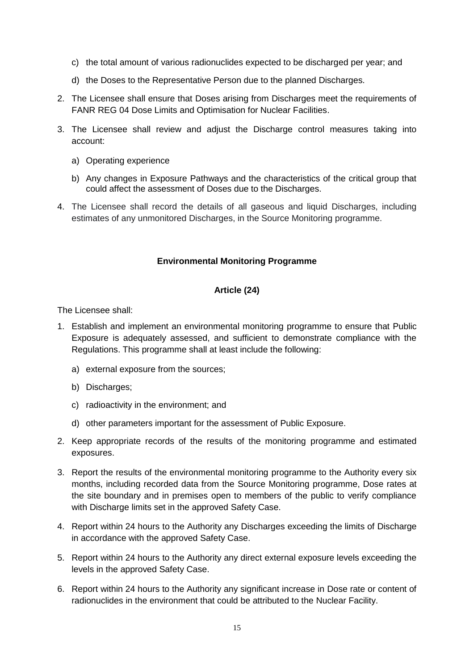- c) the total amount of various radionuclides expected to be discharged per year; and
- d) the Doses to the Representative Person due to the planned Discharges.
- 2. The Licensee shall ensure that Doses arising from Discharges meet the requirements of FANR REG 04 Dose Limits and Optimisation for Nuclear Facilities.
- 3. The Licensee shall review and adjust the Discharge control measures taking into account:
	- a) Operating experience
	- b) Any changes in Exposure Pathways and the characteristics of the critical group that could affect the assessment of Doses due to the Discharges.
- <span id="page-14-0"></span>4. The Licensee shall record the details of all gaseous and liquid Discharges, including estimates of any unmonitored Discharges, in the Source Monitoring programme.

#### **Environmental Monitoring Programme**

#### **Article (24)**

<span id="page-14-1"></span>The Licensee shall:

- 1. Establish and implement an environmental monitoring programme to ensure that Public Exposure is adequately assessed, and sufficient to demonstrate compliance with the Regulations. This programme shall at least include the following:
	- a) external exposure from the sources;
	- b) Discharges;
	- c) radioactivity in the environment; and
	- d) other parameters important for the assessment of Public Exposure.
- 2. Keep appropriate records of the results of the monitoring programme and estimated exposures.
- 3. Report the results of the environmental monitoring programme to the Authority every six months, including recorded data from the Source Monitoring programme, Dose rates at the site boundary and in premises open to members of the public to verify compliance with Discharge limits set in the approved Safety Case.
- 4. Report within 24 hours to the Authority any Discharges exceeding the limits of Discharge in accordance with the approved Safety Case.
- 5. Report within 24 hours to the Authority any direct external exposure levels exceeding the levels in the approved Safety Case.
- 6. Report within 24 hours to the Authority any significant increase in Dose rate or content of radionuclides in the environment that could be attributed to the Nuclear Facility.